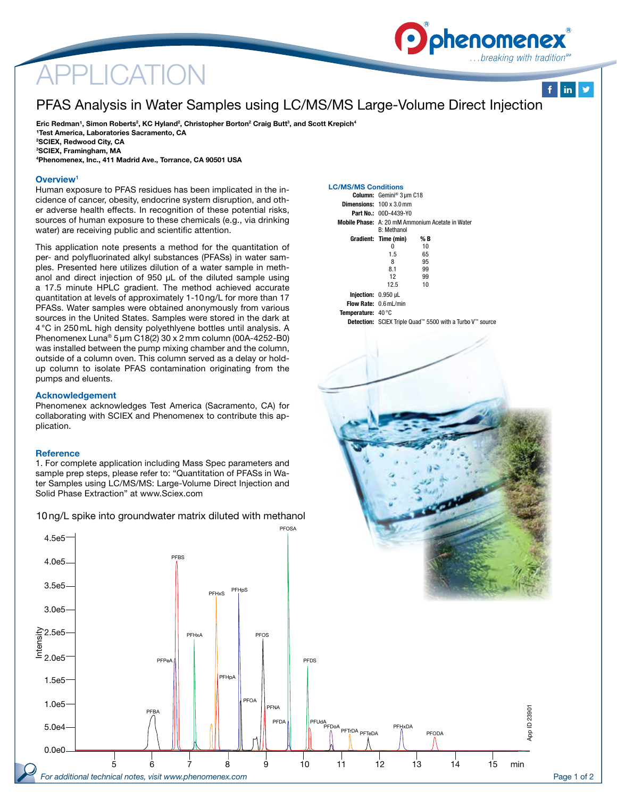# APPLICATION

## PFAS Analysis in Water Samples using LC/MS/MS Large-Volume Direct Injection

Eric Redman<sup>1</sup>, Simon Roberts<sup>2</sup>, KC Hyland<sup>2</sup>, Christopher Borton<sup>2</sup> Craig Butt<sup>3</sup>, and Scott Krepich<sup>4</sup> <sup>1</sup>Test America, Laboratories Sacramento, CA 2 SCIEX, Redwood City, CA 3 SCIEX, Framingham, MA 4 Phenomenex, Inc., 411 Madrid Ave., Torrance, CA 90501 USA

#### Overview<sup>1</sup>

Human exposure to PFAS residues has been implicated in the incidence of cancer, obesity, endocrine system disruption, and other adverse health effects. In recognition of these potential risks, sources of human exposure to these chemicals (e.g., via drinking water) are receiving public and scientific attention.

This application note presents a method for the quantitation of per- and polyfluorinated alkyl substances (PFASs) in water samples. Presented here utilizes dilution of a water sample in methanol and direct injection of 950 μL of the diluted sample using a 17.5 minute HPLC gradient. The method achieved accurate quantitation at levels of approximately 1-10 ng/L for more than 17 PFASs. Water samples were obtained anonymously from various sources in the United States. Samples were stored in the dark at 4 °C in 250 mL high density polyethlyene bottles until analysis. A Phenomenex Luna® 5 µm C18(2) 30 x 2 mm column (00A-4252-B0) was installed between the pump mixing chamber and the column, outside of a column oven. This column served as a delay or holdup column to isolate PFAS contamination originating from the pumps and eluents.

#### Acknowledgement

Phenomenex acknowledges Test America (Sacramento, CA) for collaborating with SCIEX and Phenomenex to contribute this application.

#### **Reference**

4.5e5

1. For complete application including Mass Spec parameters and sample prep steps, please refer to: "Quantitation of PFASs in Water Samples using LC/MS/MS: Large-Volume Direct Injection and Solid Phase Extraction" at www.Sciex.com

10ng/L spike into groundwater matrix diluted with methanol



|                                    | Column: Gemini <sup>®</sup> 3 µm C18                                         |     |  |  |  |  |
|------------------------------------|------------------------------------------------------------------------------|-----|--|--|--|--|
|                                    | <b>Dimensions:</b> $100 \times 3.0 \text{ mm}$                               |     |  |  |  |  |
|                                    | <b>Part No.: 00D-4439-Y0</b>                                                 |     |  |  |  |  |
|                                    | <b>Mobile Phase:</b> A: 20 mM Ammonium Acetate in Water<br><b>R</b> Methanol |     |  |  |  |  |
|                                    | Gradient: Time (min)                                                         | % B |  |  |  |  |
|                                    | $\Omega$                                                                     | 10  |  |  |  |  |
|                                    | 1.5                                                                          | 65  |  |  |  |  |
|                                    | 8                                                                            | 95  |  |  |  |  |
|                                    | 81                                                                           | 99  |  |  |  |  |
|                                    | 12                                                                           | 99  |  |  |  |  |
|                                    | 12.5                                                                         | 10  |  |  |  |  |
| <b>Iniection: 0.950 uL</b>         |                                                                              |     |  |  |  |  |
|                                    | <b>Flow Rate: 0.6 mL/min</b>                                                 |     |  |  |  |  |
| <b>Temperature:</b> $40^{\circ}$ C |                                                                              |     |  |  |  |  |
|                                    | <b>Detection:</b> SCIEX Triple Quad <sup>™</sup> 5500 with a Turbo V™ source |     |  |  |  |  |
|                                    |                                                                              |     |  |  |  |  |

**D** phenomenex

..breaking with tradition<sup>®</sup>

 $f$  in  $y$ 





PFOSA